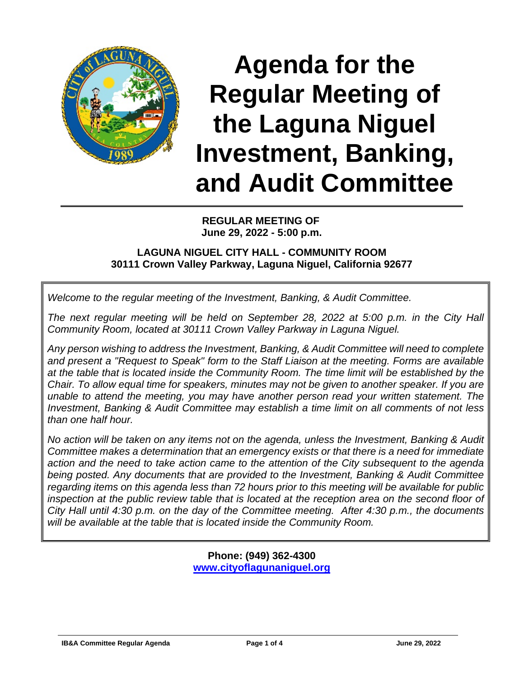

# **Agenda for the Regular Meeting of the Laguna Niguel Investment, Banking, and Audit Committee**

 **REGULAR MEETING OF June 29, 2022 - 5:00 p.m.**

## **LAGUNA NIGUEL CITY HALL - COMMUNITY ROOM 30111 Crown Valley Parkway, Laguna Niguel, California 92677**

*Welcome to the regular meeting of the Investment, Banking, & Audit Committee.*

*The next regular meeting will be held on September 28, 2022 at 5:00 p.m. in the City Hall Community Room, located at 30111 Crown Valley Parkway in Laguna Niguel.*

*Any person wishing to address the Investment, Banking, & Audit Committee will need to complete and present a "Request to Speak" form to the Staff Liaison at the meeting. Forms are available at the table that is located inside the Community Room. The time limit will be established by the Chair. To allow equal time for speakers, minutes may not be given to another speaker. If you are unable to attend the meeting, you may have another person read your written statement. The Investment, Banking & Audit Committee may establish a time limit on all comments of not less than one half hour.* 

*No action will be taken on any items not on the agenda, unless the Investment, Banking & Audit Committee makes a determination that an emergency exists or that there is a need for immediate action and the need to take action came to the attention of the City subsequent to the agenda being posted. Any documents that are provided to the Investment, Banking & Audit Committee regarding items on this agenda less than 72 hours prior to this meeting will be available for public inspection at the public review table that is located at the reception area on the second floor of City Hall until 4:30 p.m. on the day of the Committee meeting. After 4:30 p.m., the documents will be available at the table that is located inside the Community Room.*

> **Phone: (949) 362-4300 [www.cityoflagunaniguel.org](http://www.cityoflagunaniguel.org/)**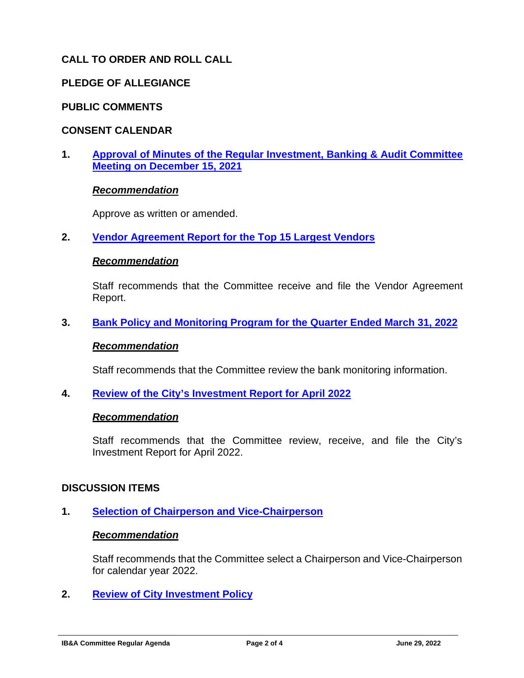# **CALL TO ORDER AND ROLL CALL**

## **PLEDGE OF ALLEGIANCE**

## **PUBLIC COMMENTS**

## **CONSENT CALENDAR**

**1. Approval of Minutes of the Regular [Investment, Banking & Audit Committee](https://www.cityoflagunaniguel.org/DocumentCenter/View/22923/20220629_01_Minutes)  Meeting on [December 15, 2021](https://www.cityoflagunaniguel.org/DocumentCenter/View/22923/20220629_01_Minutes)**

## *Recommendation*

Approve as written or amended.

**2. [Vendor Agreement Report for the Top 15 Largest Vendors](https://www.cityoflagunaniguel.org/DocumentCenter/View/22924/20220629_02_Vendor)**

## *Recommendation*

Staff recommends that the Committee receive and file the Vendor Agreement Report.

**3. [Bank Policy and Monitoring Program for the Quarter Ended March 31, 2022](https://www.cityoflagunaniguel.org/DocumentCenter/View/22925/20220629_03_BankPolicy)**

## *Recommendation*

Staff recommends that the Committee review the bank monitoring information.

**4. [Review of the City's Investment Report for April](https://www.cityoflagunaniguel.org/DocumentCenter/View/22926/20220629_04_InvestmentReport) 2022**

#### *Recommendation*

Staff recommends that the Committee review, receive, and file the City's Investment Report for April 2022.

## **DISCUSSION ITEMS**

## **1. [Selection of Chairperson and Vice-Chairperson](https://www.cityoflagunaniguel.org/DocumentCenter/View/22927/20220629_D1_ChairViceChair)**

#### *Recommendation*

Staff recommends that the Committee select a Chairperson and Vice-Chairperson for calendar year 2022.

**2. [Review of City Investment Policy](https://www.cityoflagunaniguel.org/DocumentCenter/View/22928/20220629_D2_InvestmentPolicy)**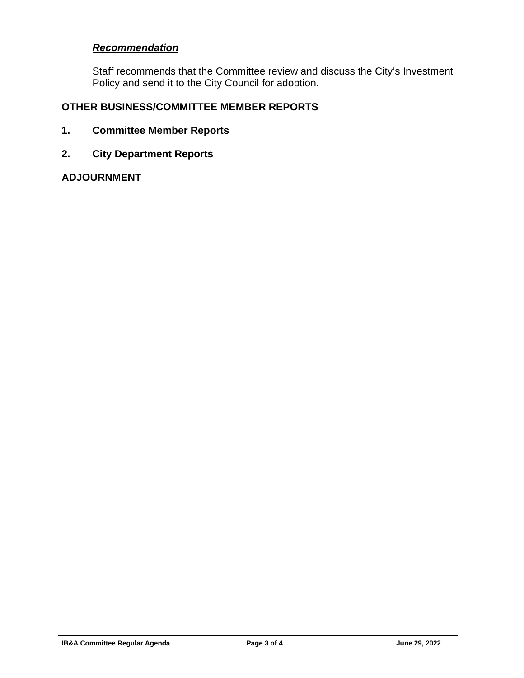## *Recommendation*

Staff recommends that the Committee review and discuss the City's Investment Policy and send it to the City Council for adoption.

# **OTHER BUSINESS/COMMITTEE MEMBER REPORTS**

- **1. Committee Member Reports**
- **2. City Department Reports**

## **ADJOURNMENT**